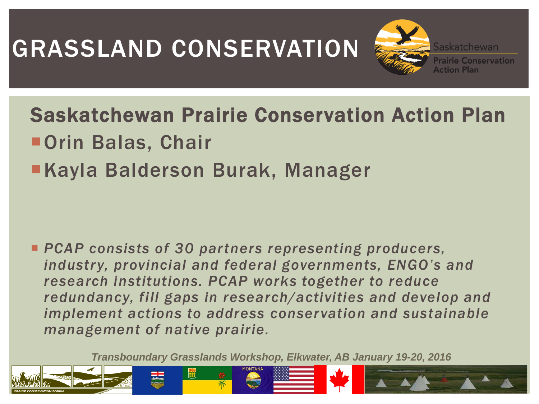# GRASSLAND CONSERVATION

Saskatchewan Prairie Conservation Action Plan ■ Orin Balas, Chair ■Kayla Balderson Burak, Manager

 *PCAP consists of 30 partners representing producers, industry, provincial and federal governments, ENGO's and research institutions. PCAP works together to reduce redundancy, fill gaps in research/activities and develop and implement actions to address conservation and sustainable management of native prairie.* 

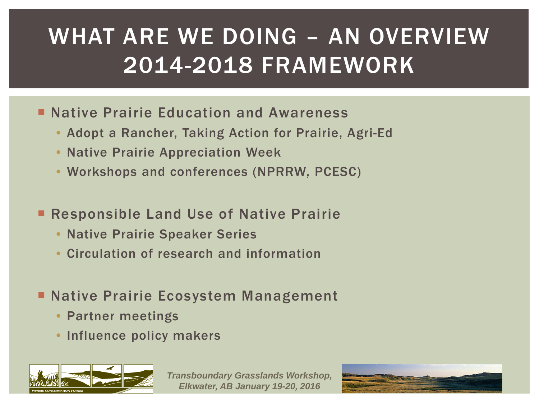## WHAT ARE WE DOING – AN OVERVIEW 2014-2018 FRAMEWORK

- **Native Prairie Education and Awareness** 
	- Adopt a Rancher, Taking Action for Prairie, Agri-Ed
	- Native Prairie Appreciation Week
	- Workshops and conferences (NPRRW, PCESC)
- Responsible Land Use of Native Prairie
	- Native Prairie Speaker Series
	- Circulation of research and information
- **Native Prairie Ecosystem Management** 
	- Partner meetings
	- Influence policy makers



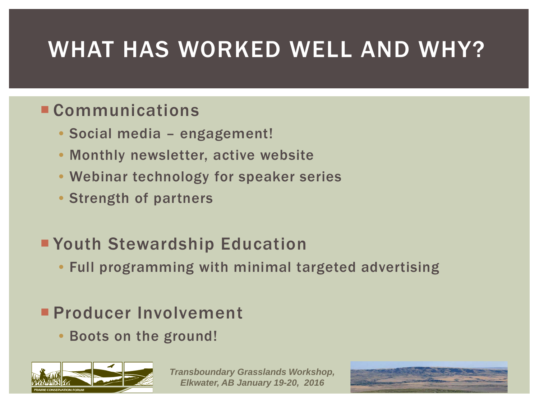### WHAT HAS WORKED WELL AND WHY?

#### **Communications**

- Social media engagement!
- Monthly newsletter, active website
- Webinar technology for speaker series
- Strength of partners

#### Youth Stewardship Education

• Full programming with minimal targeted advertising

#### **Producer Involvement**

• Boots on the ground!



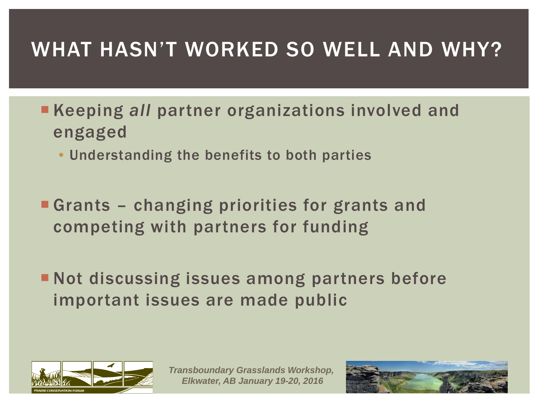### WHAT HASN'T WORKED SO WELL AND WHY?

- **Keeping all partner organizations involved and** engaged
	- Understanding the benefits to both parties
- **Grants changing priorities for grants and** competing with partners for funding
- **Not discussing issues among partners before** important issues are made public